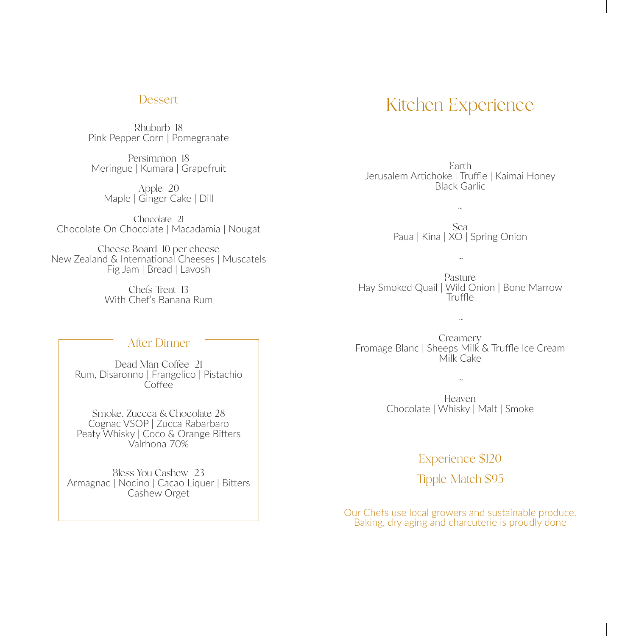## **Dessert**

Rhubarb 18 Pink Pepper Corn | Pomegranate

Persimmon 18 Meringue | Kumara | Grapefruit

Apple 20 Maple | Ginger Cake | Dill

Chocolate 21 Chocolate On Chocolate | Macadamia | Nougat

Cheese Board 10 per cheese New Zealand & International Cheeses | Muscatels Fig Jam | Bread | Lavosh

> Chefs Treat 13 With Chef's Banana Rum

# After Dinner

Dead Man Coffee 21 Rum, Disaronno | Frangelico | Pistachio Coffee

Smoke, Zuccca & Chocolate 28 Cognac VSOP | Zucca Rabarbaro Peaty Whisky | Coco & Orange Bitters Valrhona 70%

Bless You Cashew 23 Armagnac | Nocino | Cacao Liquer | Bitters Cashew Orget

Earth Jerusalem Artichoke | Truffle | Kaimai Honey Black Garlic

Kitchen Experience

Sea Paua | Kina | XO | Spring Onion

~

~

Pasture Hay Smoked Quail | Wild Onion | Bone Marrow Truffle

Creamery<br>Fromage Blanc | Sheeps Milk & Truffle Ice Cream Milk Cake

 $\approx$ 

Heaven Chocolate | Whisky | Malt | Smoke

~

Experience \$120

Tipple Match \$95

Our Chefs use local growers and sustainable produce. Baking, dry aging and charcuterie is proudly done